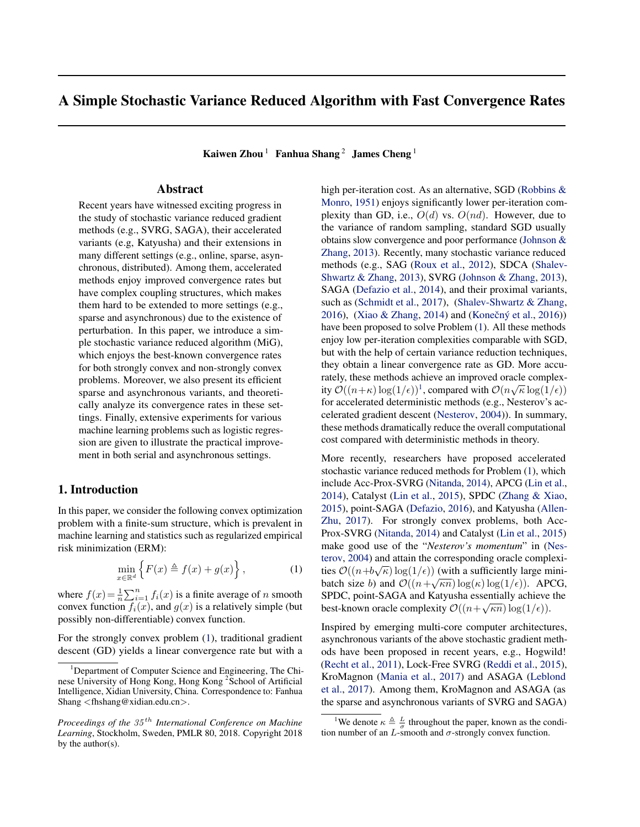# <span id="page-0-0"></span>A Simple Stochastic Variance Reduced Algorithm with Fast Convergence Rates

Kaiwen Zhou <sup>1</sup> Fanhua Shang <sup>2</sup> James Cheng <sup>1</sup>

# Abstract

Recent years have witnessed exciting progress in the study of stochastic variance reduced gradient methods (e.g., SVRG, SAGA), their accelerated variants (e.g, Katyusha) and their extensions in many different settings (e.g., online, sparse, asynchronous, distributed). Among them, accelerated methods enjoy improved convergence rates but have complex coupling structures, which makes them hard to be extended to more settings (e.g., sparse and asynchronous) due to the existence of perturbation. In this paper, we introduce a simple stochastic variance reduced algorithm (MiG), which enjoys the best-known convergence rates for both strongly convex and non-strongly convex problems. Moreover, we also present its efficient sparse and asynchronous variants, and theoretically analyze its convergence rates in these settings. Finally, extensive experiments for various machine learning problems such as logistic regression are given to illustrate the practical improvement in both serial and asynchronous settings.

### 1. Introduction

In this paper, we consider the following convex optimization problem with a finite-sum structure, which is prevalent in machine learning and statistics such as regularized empirical risk minimization (ERM):

$$
\min_{x \in \mathbb{R}^d} \left\{ F(x) \triangleq f(x) + g(x) \right\},\tag{1}
$$

where  $f(x) = \frac{1}{n} \sum_{i=1}^{n} f_i(x)$  is a finite average of n smooth convex function  $f_i(x)$ , and  $g(x)$  is a relatively simple (but possibly non-differentiable) convex function.

For the strongly convex problem (1), traditional gradient descent (GD) yields a linear convergence rate but with a high per-iteration cost. As an alternative, SGD [\(Robbins &](#page-8-0) [Monro,](#page-8-0) [1951\)](#page-8-0) enjoys significantly lower per-iteration complexity than GD, i.e.,  $O(d)$  vs.  $O(nd)$ . However, due to the variance of random sampling, standard SGD usually obtains slow convergence and poor performance [\(Johnson &](#page-8-0) [Zhang,](#page-8-0) [2013\)](#page-8-0). Recently, many stochastic variance reduced methods (e.g., SAG [\(Roux et al.,](#page-8-0) [2012\)](#page-8-0), SDCA [\(Shalev-](#page-8-0)[Shwartz & Zhang,](#page-8-0) [2013\)](#page-8-0), SVRG [\(Johnson & Zhang,](#page-8-0) [2013\)](#page-8-0), SAGA [\(Defazio et al.,](#page-8-0) [2014\)](#page-8-0), and their proximal variants, such as [\(Schmidt et al.,](#page-8-0) [2017\)](#page-8-0), [\(Shalev-Shwartz & Zhang,](#page-9-0) [2016\)](#page-8-0), [\(Xiao & Zhang,](#page-9-0) [2014\)](#page-9-0) and (Konečný et al., 2016)) have been proposed to solve Problem (1). All these methods enjoy low per-iteration complexities comparable with SGD, but with the help of certain variance reduction techniques, they obtain a linear convergence rate as GD. More accurately, these methods achieve an improved oracle complexratery, these methods achieve an improved oracle complex-<br>ity  $\mathcal{O}((n+\kappa)\log(1/\epsilon))^1$ , compared with  $\mathcal{O}(n\sqrt{\kappa}\log(1/\epsilon))$ for accelerated deterministic methods (e.g., Nesterov's accelerated gradient descent [\(Nesterov,](#page-8-0) [2004\)](#page-8-0)). In summary, these methods dramatically reduce the overall computational cost compared with deterministic methods in theory.

More recently, researchers have proposed accelerated stochastic variance reduced methods for Problem (1), which include Acc-Prox-SVRG [\(Nitanda,](#page-8-0) [2014\)](#page-8-0), APCG [\(Lin et al.,](#page-8-0) [2014\)](#page-8-0), Catalyst [\(Lin et al.,](#page-8-0) [2015\)](#page-8-0), SPDC [\(Zhang & Xiao,](#page-9-0) [2015\)](#page-9-0), point-SAGA [\(Defazio,](#page-8-0) [2016\)](#page-8-0), and Katyusha [\(Allen-](#page-8-0)[Zhu,](#page-8-0) [2017\)](#page-8-0). For strongly convex problems, both Acc-Prox-SVRG [\(Nitanda,](#page-8-0) [2014\)](#page-8-0) and Catalyst [\(Lin et al.,](#page-8-0) [2015\)](#page-8-0) make good use of the "*Nesterov's momentum*" in [\(Nes](#page-8-0)[terov,](#page-8-0) [2004\)](#page-8-0) and attain the corresponding oracle complexi-√ ties  $\mathcal{O}((n+b\sqrt{\kappa})\log(1/\epsilon))$  (with a sufficiently large minibatch size b) and  $\mathcal{O}((n+\sqrt{\kappa n})\log(\kappa)\log(1/\epsilon))$ . APCG, SPDC, point-SAGA and Katyusha essentially achieve the best-known oracle complexity  $\mathcal{O}((n+\sqrt{\kappa n})\log(1/\epsilon)).$ 

Inspired by emerging multi-core computer architectures, asynchronous variants of the above stochastic gradient methods have been proposed in recent years, e.g., Hogwild! [\(Recht et al.,](#page-8-0) [2011\)](#page-8-0), Lock-Free SVRG [\(Reddi et al.,](#page-8-0) [2015\)](#page-8-0), KroMagnon [\(Mania et al.,](#page-8-0) [2017\)](#page-8-0) and ASAGA [\(Leblond](#page-8-0) [et al.,](#page-8-0) [2017\)](#page-8-0). Among them, KroMagnon and ASAGA (as the sparse and asynchronous variants of SVRG and SAGA)

<sup>&</sup>lt;sup>1</sup>Department of Computer Science and Engineering, The Chinese University of Hong Kong, Hong Kong<sup>2</sup> School of Artificial Intelligence, Xidian University, China. Correspondence to: Fanhua Shang <fhshang@xidian.edu.cn>.

*Proceedings of the* 35 th *International Conference on Machine Learning*, Stockholm, Sweden, PMLR 80, 2018. Copyright 2018 by the author(s).

<sup>&</sup>lt;sup>1</sup>We denote  $\kappa \triangleq \frac{L}{\sigma}$  throughout the paper, known as the condition number of an  $L$ -smooth and  $\sigma$ -strongly convex function.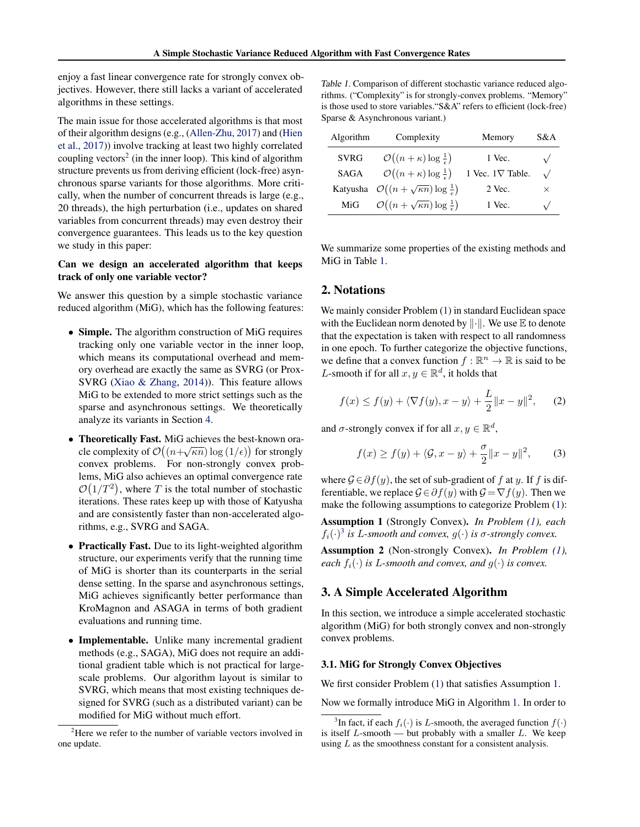<span id="page-1-0"></span>enjoy a fast linear convergence rate for strongly convex objectives. However, there still lacks a variant of accelerated algorithms in these settings.

The main issue for those accelerated algorithms is that most of their algorithm designs (e.g., [\(Allen-Zhu,](#page-8-0) [2017\)](#page-8-0) and [\(Hien](#page-8-0) [et al.,](#page-8-0) [2017\)](#page-8-0)) involve tracking at least two highly correlated coupling vectors<sup>2</sup> (in the inner loop). This kind of algorithm structure prevents us from deriving efficient (lock-free) asynchronous sparse variants for those algorithms. More critically, when the number of concurrent threads is large (e.g., 20 threads), the high perturbation (i.e., updates on shared variables from concurrent threads) may even destroy their convergence guarantees. This leads us to the key question we study in this paper:

### Can we design an accelerated algorithm that keeps track of only one variable vector?

We answer this question by a simple stochastic variance reduced algorithm (MiG), which has the following features:

- Simple. The algorithm construction of MiG requires tracking only one variable vector in the inner loop, which means its computational overhead and memory overhead are exactly the same as SVRG (or Prox-SVRG [\(Xiao & Zhang,](#page-9-0) [2014\)](#page-9-0)). This feature allows MiG to be extended to more strict settings such as the sparse and asynchronous settings. We theoretically analyze its variants in Section [4.](#page-3-0)
- Theoretically Fast. MiG achieves the best-known oracle complexity of  $\mathcal{O}((n+\sqrt{\kappa n})\log{(1/\epsilon)})$  for strongly convex problems. For non-strongly convex problems, MiG also achieves an optimal convergence rate  $\mathcal{O}(1/T^2)$ , where T is the total number of stochastic iterations. These rates keep up with those of Katyusha and are consistently faster than non-accelerated algorithms, e.g., SVRG and SAGA.
- Practically Fast. Due to its light-weighted algorithm structure, our experiments verify that the running time of MiG is shorter than its counterparts in the serial dense setting. In the sparse and asynchronous settings, MiG achieves significantly better performance than KroMagnon and ASAGA in terms of both gradient evaluations and running time.
- Implementable. Unlike many incremental gradient methods (e.g., SAGA), MiG does not require an additional gradient table which is not practical for largescale problems. Our algorithm layout is similar to SVRG, which means that most existing techniques designed for SVRG (such as a distributed variant) can be modified for MiG without much effort.

Table 1. Comparison of different stochastic variance reduced algorithms. ("Complexity" is for strongly-convex problems. "Memory" is those used to store variables."S&A" refers to efficient (lock-free) Sparse & Asynchronous variant.)

| Algorithm   | Complexity                                                                    | Memory                  | S&A        |
|-------------|-------------------------------------------------------------------------------|-------------------------|------------|
| <b>SVRG</b> | $\mathcal{O}((n+\kappa)\log\frac{1}{\epsilon})$                               | 1 Vec.                  | $\sqrt{ }$ |
| SAGA        | $\mathcal{O}((n+\kappa)\log\frac{1}{\epsilon})$                               | 1 Vec. $1\nabla$ Table. | $\sqrt{2}$ |
|             | Katyusha $\mathcal{O}\left((n+\sqrt{\kappa n})\log \frac{1}{\epsilon}\right)$ | 2 Vec.                  | $\times$   |
| MiG         | $\mathcal{O}\left((n+\sqrt{\kappa n})\log\frac{1}{\epsilon}\right)$           | 1 Vec.                  | $\sqrt{ }$ |

We summarize some properties of the existing methods and MiG in Table 1.

### 2. Notations

We mainly consider Problem  $(1)$  in standard Euclidean space with the Euclidean norm denoted by  $\|\cdot\|$ . We use  $\mathbb E$  to denote that the expectation is taken with respect to all randomness in one epoch. To further categorize the objective functions, we define that a convex function  $f : \mathbb{R}^n \to \mathbb{R}$  is said to be *L*-smooth if for all  $x, y \in \mathbb{R}^d$ , it holds that

$$
f(x) \le f(y) + \langle \nabla f(y), x - y \rangle + \frac{L}{2} ||x - y||^2, \qquad (2)
$$

and  $\sigma$ -strongly convex if for all  $x, y \in \mathbb{R}^d$ ,

$$
f(x) \ge f(y) + \langle \mathcal{G}, x - y \rangle + \frac{\sigma}{2} ||x - y||^2, \qquad (3)
$$

where  $G \in \partial f(y)$ , the set of sub-gradient of f at y. If f is differentiable, we replace  $\mathcal{G} \in \partial f(y)$  with  $\mathcal{G} = \nabla f(y)$ . Then we make the following assumptions to categorize Problem [\(1\)](#page-0-0):

Assumption 1 (Strongly Convex). *In Problem [\(1\)](#page-0-0), each*  $f_i(\cdot)^3$  *is L-smooth and convex,*  $g(\cdot)$  *is*  $\sigma$ *-strongly convex.* 

Assumption 2 (Non-strongly Convex). *In Problem [\(1\)](#page-0-0), each*  $f_i(\cdot)$  *is L-smooth and convex, and*  $g(\cdot)$  *is convex.* 

### 3. A Simple Accelerated Algorithm

In this section, we introduce a simple accelerated stochastic algorithm (MiG) for both strongly convex and non-strongly convex problems.

#### 3.1. MiG for Strongly Convex Objectives

We first consider Problem  $(1)$  that satisfies Assumption 1.

Now we formally introduce MiG in Algorithm [1.](#page-2-0) In order to

<sup>&</sup>lt;sup>2</sup>Here we refer to the number of variable vectors involved in one update.

<sup>&</sup>lt;sup>3</sup>In fact, if each  $f_i(\cdot)$  is *L*-smooth, the averaged function  $f(\cdot)$ is itself  $L$ -smooth — but probably with a smaller  $L$ . We keep using  $L$  as the smoothness constant for a consistent analysis.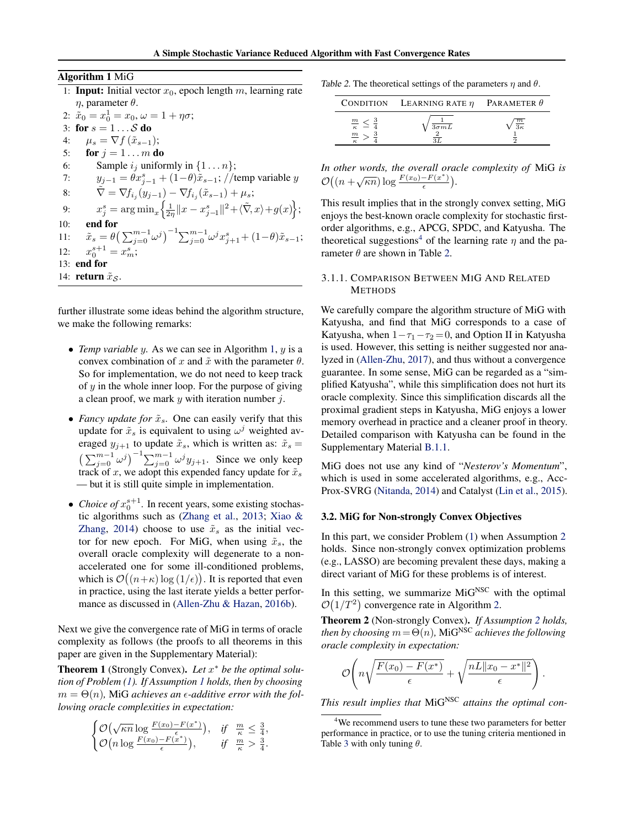<span id="page-2-0"></span>Algorithm 1 MiG

| лцоништ типо                                                                                                                 |
|------------------------------------------------------------------------------------------------------------------------------|
| 1: <b>Input:</b> Initial vector $x_0$ , epoch length m, learning rate                                                        |
| $\eta$ , parameter $\theta$ .                                                                                                |
| 2: $\tilde{x}_0 = x_0^1 = x_0, \omega = 1 + \eta \sigma;$                                                                    |
| 3: for $s = 1 \dots S$ do                                                                                                    |
| $\mu_s = \nabla f(\tilde{x}_{s-1});$<br>4:                                                                                   |
| for $j = 1 \ldots m$ do<br>5:                                                                                                |
| Sample $i_j$ uniformly in $\{1 \dots n\};$<br>6:                                                                             |
| $y_{j-1} = \theta x_{j-1}^s + (1-\theta)\tilde{x}_{s-1}$ ; //temp variable y<br>7:                                           |
| $\nabla = \nabla f_{i_1}(y_{j-1}) - \nabla f_{i_2}(\tilde{x}_{s-1}) + \mu_s;$<br>8:                                          |
| $x_j^s = \arg \min_x \left\{ \frac{1}{2\eta}   x - x_{j-1}^s  ^2 + \langle \tilde{\nabla}, x \rangle + g(x) \right\};$<br>9: |
| end for<br>10:                                                                                                               |

| . | .                                                                                                                                          |
|---|--------------------------------------------------------------------------------------------------------------------------------------------|
|   | 11: $\tilde{x}_s = \theta \left( \sum_{j=0}^{m-1} \omega^j \right)^{-1} \sum_{j=0}^{m-1} \omega^j x_{j+1}^s + (1-\theta) \tilde{x}_{s-1};$ |
|   | 12: $x_0^{s+1} = x_m^s$ ;                                                                                                                  |

13: end for

14: return  $\tilde{x}_{\mathcal{S}}$ .

further illustrate some ideas behind the algorithm structure, we make the following remarks:

- *Temp variable* y*.* As we can see in Algorithm 1, y is a convex combination of x and  $\tilde{x}$  with the parameter  $\theta$ . So for implementation, we do not need to keep track of  $y$  in the whole inner loop. For the purpose of giving a clean proof, we mark  $y$  with iteration number  $j$ .
- *Fancy update for*  $\tilde{x}_s$ . One can easily verify that this update for  $\tilde{x}_s$  is equivalent to using  $\omega^j$  weighted averaged  $y_{i+1}$  to update  $\tilde{x}_s$ , which is written as:  $\tilde{x}_s$  =  $\left(\sum_{j=0}^{m-1} \omega^j\right)^{-1} \sum_{j=0}^{m-1} \omega^j y_{j+1}$ . Since we only keep track of x, we adopt this expended fancy update for  $\tilde{x}_s$ — but it is still quite simple in implementation.
- *Choice of*  $x_0^{s+1}$ . In recent years, some existing stochastic algorithms such as [\(Zhang et al.,](#page-9-0) [2013;](#page-9-0) [Xiao &](#page-9-0) [Zhang,](#page-9-0) [2014\)](#page-9-0) choose to use  $\tilde{x}_s$  as the initial vector for new epoch. For MiG, when using  $\tilde{x}_s$ , the overall oracle complexity will degenerate to a nonaccelerated one for some ill-conditioned problems, which is  $\mathcal{O}((n+\kappa)\log{(1/\epsilon)})$ . It is reported that even in practice, using the last iterate yields a better performance as discussed in [\(Allen-Zhu & Hazan,](#page-8-0) [2016b\)](#page-8-0).

Next we give the convergence rate of MiG in terms of oracle complexity as follows (the proofs to all theorems in this paper are given in the Supplementary Material):

Theorem 1 (Strongly Convex). *Let* x <sup>∗</sup> *be the optimal solution of Problem [\(1\)](#page-0-0). If Assumption [1](#page-1-0) holds, then by choosing*  $m = \Theta(n)$ , MiG *achieves an*  $\epsilon$ *-additive error with the following oracle complexities in expectation:*

$$
\begin{cases} \mathcal{O}(\sqrt{\kappa n} \log \frac{F(x_0) - F(x^*)}{\epsilon}), & \text{if } \frac{m}{\kappa} \leq \frac{3}{4} \\ \mathcal{O}(n \log \frac{F(x_0) - F(x^*)}{\epsilon}), & \text{if } \frac{m}{\kappa} > \frac{3}{4} \end{cases}
$$

,

.

Table 2. The theoretical settings of the parameters  $\eta$  and  $\theta$ .

|                                      | CONDITION LEARNING RATE $\eta$ | PARAMETER $\theta$ |
|--------------------------------------|--------------------------------|--------------------|
| $\frac{m}{\kappa}$ .<br>$\mathbf{m}$ | $\overline{3\sigma mL}$        | $_{m}$             |

*In other words, the overall oracle complexity of* MiG *is*  $\mathcal{O}\left((n+\sqrt{\kappa n})\log\frac{F(x_0)-F(x^*)}{\epsilon}\right)$  $\frac{-F(x^*)}{\epsilon}$ ).

This result implies that in the strongly convex setting, MiG enjoys the best-known oracle complexity for stochastic firstorder algorithms, e.g., APCG, SPDC, and Katyusha. The theoretical suggestions<sup>4</sup> of the learning rate  $\eta$  and the parameter  $\theta$  are shown in Table 2.

### 3.1.1. COMPARISON BETWEEN MIG AND RELATED **METHODS**

We carefully compare the algorithm structure of MiG with Katyusha, and find that MiG corresponds to a case of Katyusha, when  $1-\tau_1-\tau_2=0$ , and Option II in Katyusha is used. However, this setting is neither suggested nor analyzed in [\(Allen-Zhu,](#page-8-0) [2017\)](#page-8-0), and thus without a convergence guarantee. In some sense, MiG can be regarded as a "simplified Katyusha", while this simplification does not hurt its oracle complexity. Since this simplification discards all the proximal gradient steps in Katyusha, MiG enjoys a lower memory overhead in practice and a cleaner proof in theory. Detailed comparison with Katyusha can be found in the Supplementary Material [B.1.1.](#page--1-0)

MiG does not use any kind of "*Nesterov's Momentum*", which is used in some accelerated algorithms, e.g., Acc-Prox-SVRG [\(Nitanda,](#page-8-0) [2014\)](#page-8-0) and Catalyst [\(Lin et al.,](#page-8-0) [2015\)](#page-8-0).

### 3.2. MiG for Non-strongly Convex Objectives

In this part, we consider Problem [\(1\)](#page-0-0) when Assumption [2](#page-1-0) holds. Since non-strongly convex optimization problems (e.g., LASSO) are becoming prevalent these days, making a direct variant of MiG for these problems is of interest.

In this setting, we summarize  $\text{MiG}^{\text{NSC}}$  with the optimal  $\mathcal{O}(1/T^2)$  convergence rate in Algorithm [2.](#page-3-0)

Theorem 2 (Non-strongly Convex). *If Assumption [2](#page-1-0) holds, then by choosing*  $m = \Theta(n)$ *, MiG<sup>NSC</sup> achieves the following oracle complexity in expectation:*

$$
\mathcal{O}\left(n\sqrt{\frac{F(x_0) - F(x^*)}{\epsilon}} + \sqrt{\frac{nL||x_0 - x^*||^2}{\epsilon}}\right)
$$

.

This result implies that MiG<sup>NSC</sup> attains the optimal con-

<sup>&</sup>lt;sup>4</sup>We recommend users to tune these two parameters for better performance in practice, or to use the tuning criteria mentioned in Table [3](#page-6-0) with only tuning  $\theta$ .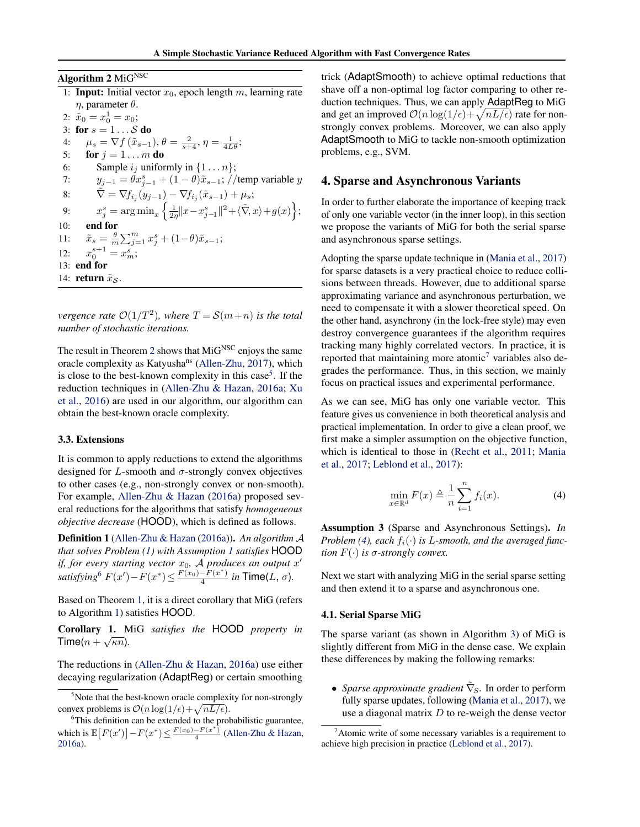<span id="page-3-0"></span>Algorithm 2 MiGNSC 1: **Input:** Initial vector  $x_0$ , epoch length m, learning rate  $η$ , parameter  $θ$ .

2:  $\tilde{x}_0 = x_0^1 = x_0;$ 3: for  $s = 1 \dots S$  do 4:  $\mu_s = \nabla f(\tilde{x}_{s-1}), \theta = \frac{2}{s+4}, \eta = \frac{1}{4L\theta};$ 5: **for**  $j = 1 ... m$  **do** 6: Sample  $i_j$  uniformly in  $\{1 \dots n\}$ ; 7:  $y_{j-1} = \theta x_{j-1}^s + (1 - \theta) \tilde{x}_{s-1}$ ; //temp variable y 8:  $\tilde{\nabla} = \nabla f_{i_j}(y_{j-1}) - \nabla f_{i_j}(\tilde{x}_{s-1}) + \mu_s;$ 9:  $x_j^s = \arg \min_x \left\{ \frac{1}{2\eta} \|x - x_{j-1}^s\|^2 + \langle \tilde{\nabla}, x \rangle + g(x) \right\};$ 10: end for 11:  $\tilde{x}_s = \frac{\theta}{m} \sum_{j=1}^m x_j^s + (1-\theta)\tilde{x}_{s-1};$ <br>
12:  $x_0^{s+1} = x_m^s;$  $12:$ 13: end for 14: return  $\tilde{x}_s$ .

*vergence rate*  $O(1/T^2)$ *, where*  $T = S(m+n)$  *is the total number of stochastic iterations.*

The result in Theorem [2](#page-2-0) shows that  $M_i$ G<sup>NSC</sup> enjoys the same oracle complexity as Katyusha<sup>ns</sup> [\(Allen-Zhu,](#page-8-0) [2017\)](#page-8-0), which is close to the best-known complexity in this case<sup>5</sup>. If the reduction techniques in [\(Allen-Zhu & Hazan,](#page-8-0) [2016a;](#page-8-0) [Xu](#page-9-0) [et al.,](#page-9-0) [2016\)](#page-9-0) are used in our algorithm, our algorithm can obtain the best-known oracle complexity.

#### 3.3. Extensions

It is common to apply reductions to extend the algorithms designed for  $L$ -smooth and  $\sigma$ -strongly convex objectives to other cases (e.g., non-strongly convex or non-smooth). For example, [Allen-Zhu & Hazan](#page-8-0) [\(2016a\)](#page-8-0) proposed several reductions for the algorithms that satisfy *homogeneous objective decrease* (HOOD), which is defined as follows.

Definition 1 [\(Allen-Zhu & Hazan](#page-8-0) [\(2016a\)](#page-8-0)). *An algorithm* A *that solves Problem [\(1\)](#page-0-0) with Assumption [1](#page-1-0) satisfies* HOOD *if, for every starting vector*  $x_0$ , A *produces an output*  $x'$ *satisfying*<sup>6</sup>  $F(x') - F(x^*) \leq \frac{F(x_0) - F(x^*)}{4}$  $\frac{-F(x)}{4}$  *in* Time(*L*,  $\sigma$ ).

Based on Theorem [1,](#page-2-0) it is a direct corollary that MiG (refers to Algorithm [1\)](#page-2-0) satisfies HOOD.

Corollary 1. MiG *satisfies the* HOOD *property in* √  $\mathsf{Time}(n+\sqrt{\kappa n}).$ 

The reductions in [\(Allen-Zhu & Hazan,](#page-8-0) [2016a\)](#page-8-0) use either decaying regularization (AdaptReg) or certain smoothing trick (AdaptSmooth) to achieve optimal reductions that shave off a non-optimal log factor comparing to other reduction techniques. Thus, we can apply AdaptReg to MiG and get an improved  $\mathcal{O}(n \log(1/\epsilon) + \sqrt{nL/\epsilon})$  rate for nonstrongly convex problems. Moreover, we can also apply AdaptSmooth to MiG to tackle non-smooth optimization problems, e.g., SVM.

### 4. Sparse and Asynchronous Variants

In order to further elaborate the importance of keeping track of only one variable vector (in the inner loop), in this section we propose the variants of MiG for both the serial sparse and asynchronous sparse settings.

Adopting the sparse update technique in [\(Mania et al.,](#page-8-0) [2017\)](#page-8-0) for sparse datasets is a very practical choice to reduce collisions between threads. However, due to additional sparse approximating variance and asynchronous perturbation, we need to compensate it with a slower theoretical speed. On the other hand, asynchrony (in the lock-free style) may even destroy convergence guarantees if the algorithm requires tracking many highly correlated vectors. In practice, it is reported that maintaining more atomic<sup>7</sup> variables also degrades the performance. Thus, in this section, we mainly focus on practical issues and experimental performance.

As we can see, MiG has only one variable vector. This feature gives us convenience in both theoretical analysis and practical implementation. In order to give a clean proof, we first make a simpler assumption on the objective function, which is identical to those in [\(Recht et al.,](#page-8-0) [2011;](#page-8-0) [Mania](#page-8-0) [et al.,](#page-8-0) [2017;](#page-8-0) [Leblond et al.,](#page-8-0) [2017\)](#page-8-0):

$$
\min_{x \in \mathbb{R}^d} F(x) \triangleq \frac{1}{n} \sum_{i=1}^n f_i(x). \tag{4}
$$

Assumption 3 (Sparse and Asynchronous Settings). *In Problem (4), each*  $f_i(\cdot)$  *is L-smooth, and the averaged function*  $F(\cdot)$  *is*  $\sigma$ -strongly convex.

Next we start with analyzing MiG in the serial sparse setting and then extend it to a sparse and asynchronous one.

#### 4.1. Serial Sparse MiG

The sparse variant (as shown in Algorithm [3\)](#page-4-0) of MiG is slightly different from MiG in the dense case. We explain these differences by making the following remarks:

• *Sparse approximate gradient*  $\tilde{\nabla}_s$ . In order to perform fully sparse updates, following [\(Mania et al.,](#page-8-0) [2017\)](#page-8-0), we use a diagonal matrix  $D$  to re-weigh the dense vector

<sup>&</sup>lt;sup>5</sup>Note that the best-known oracle complexity for non-strongly convex problems is  $\mathcal{O}(n \log(1/\epsilon) + \sqrt{nL/\epsilon}).$ 

<sup>&</sup>lt;sup>6</sup>This definition can be extended to the probabilistic guarantee, which is  $\mathbb{E}[F(x')] - F(x^*) \leq \frac{F(x_0) - F(x^*)}{4}$  [\(Allen-Zhu & Hazan,](#page-8-0) [2016a\)](#page-8-0).

 $7$ Atomic write of some necessary variables is a requirement to achieve high precision in practice [\(Leblond et al.,](#page-8-0) [2017\)](#page-8-0).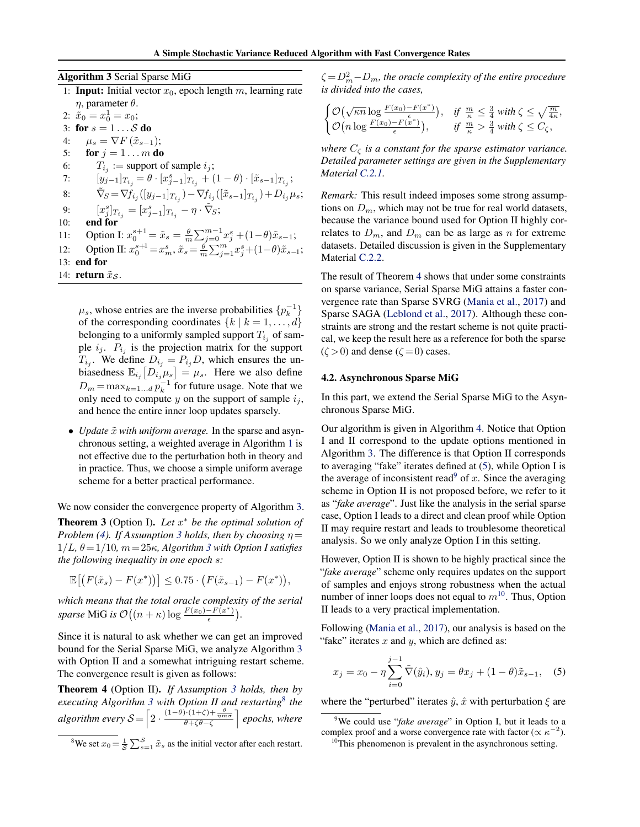<span id="page-4-0"></span>Algorithm 3 Serial Sparse MiG

1: **Input:** Initial vector  $x_0$ , epoch length m, learning rate η, parameter θ. 2:  $\tilde{x}_0 = x_0^1 = x_0;$ 

3: for  $s = 1 \dots S$  do 4:  $\mu_s = \nabla F(\tilde{x}_{s-1});$ 5: for  $j = 1 \ldots m$  do 6:  $T_{i_j}$  := support of sample  $i_j$ ; 7:  $[y_{j-1}]_{T_{i_j}} = \theta \cdot [x_{j-1}^s]_{T_{i_j}} + (1 - \theta) \cdot [\tilde{x}_{s-1}]_{T_{i_j}};$ 8:  $\tilde{\nabla}_S = \nabla f_{i_j}([y_{j-1}]_{T_{i_j}}) - \nabla f_{i_j}([\tilde{x}_{s-1}]_{T_{i_j}}) + D_{i_j}\mu_s;$ 9:  $[x_j^s]_{T_{i_j}} = [x_{j-1}^s]_{T_{i_j}} - \eta \cdot \tilde{\nabla}_S;$ 10: end for 11: Option I:  $x_0^{s+1} = \tilde{x}_s = \frac{\theta}{m} \sum_{j=0}^{m-1} x_j^s + (1-\theta)\tilde{x}_{s-1}$ ; 12: Option II:  $x_0^{s+1} = x_m^s$ ,  $\tilde{x}_s = \frac{\tilde{\theta}}{m} \sum_{j=1}^m x_j^s + (1-\theta)\tilde{x}_{s-1}$ ; 13: end for 14: return  $\tilde{x}_{\mathcal{S}}$ .

 $\mu_s$ , whose entries are the inverse probabilities  $\{p_k^{-1}\}$ of the corresponding coordinates  $\{k \mid k = 1, \ldots, d\}$ belonging to a uniformly sampled support  $T_{i_j}$  of sample  $i_j$ .  $P_{i_j}$  is the projection matrix for the support  $T_{i_j}$ . We define  $D_{i_j} = P_{i_j}D$ , which ensures the unbiasedness  $\mathbb{E}_{i_j}[D_{i_j}\mu_s] = \mu_s$ . Here we also define  $D_m = \max_{k=1...d} p_k^{-1}$  for future usage. Note that we only need to compute y on the support of sample  $i_j$ , and hence the entire inner loop updates sparsely.

• *Update*  $\tilde{x}$  *with uniform average*. In the sparse and asynchronous setting, a weighted average in Algorithm [1](#page-2-0) is not effective due to the perturbation both in theory and in practice. Thus, we choose a simple uniform average scheme for a better practical performance.

We now consider the convergence property of Algorithm 3.

Theorem 3 (Option I). *Let* x <sup>∗</sup> *be the optimal solution of Problem [\(4\)](#page-3-0). If Assumption [3](#page-3-0) holds, then by choosing*  $\eta =$  $1/L$ ,  $\theta = 1/10$ ,  $m = 25\kappa$ , Algorithm 3 with Option I satisfies *the following inequality in one epoch* s*:*

 $\mathbb{E}[(F(\tilde{x}_s) - F(x^*))] \leq 0.75 \cdot (F(\tilde{x}_{s-1}) - F(x^*)),$ 

*which means that the total oracle complexity of the serial sparse* MiG *is*  $\mathcal{O}\left((n + \kappa)\log \frac{F(x_0) - F(x^*)}{\epsilon}\right)$  $\frac{-F(x^*)}{\epsilon}$ ).

Since it is natural to ask whether we can get an improved bound for the Serial Sparse MiG, we analyze Algorithm 3 with Option II and a somewhat intriguing restart scheme. The convergence result is given as follows:

Theorem 4 (Option II). *If Assumption [3](#page-3-0) holds, then by executing Algorithm 3 with Option II and restarting*<sup>8</sup> *the algorithm every*  $S = \left[2 \cdot \frac{(1-\theta) \cdot (1+\zeta) + \frac{\theta}{nm\sigma}}{\theta + \zeta \theta - \zeta}\right]$  epochs, where

<sup>8</sup>We set  $x_0 = \frac{1}{S} \sum_{s=1}^{S} \tilde{x}_s$  as the initial vector after each restart.

 $\zeta = D_m^2 - D_m$ , the oracle complexity of the entire procedure *is divided into the cases,*

$$
\begin{cases} \mathcal{O}(\sqrt{\kappa n} \log \frac{F(x_0) - F(x^*)}{\epsilon}), & \text{if } \frac{m}{\kappa} \leq \frac{3}{4} \text{ with } \zeta \leq \sqrt{\frac{m}{4\kappa}},\\ \mathcal{O}(n \log \frac{F(x_0) - F(x^*)}{\epsilon}), & \text{if } \frac{m}{\kappa} > \frac{3}{4} \text{ with } \zeta \leq C_{\zeta}, \end{cases}
$$

*where*  $C_{\zeta}$  *is a constant for the sparse estimator variance. Detailed parameter settings are given in the Supplementary Material [C.2.1.](#page--1-0)*

*Remark:* This result indeed imposes some strong assumptions on  $D_m$ , which may not be true for real world datasets, because the variance bound used for Option II highly correlates to  $D_m$ , and  $D_m$  can be as large as n for extreme datasets. Detailed discussion is given in the Supplementary Material [C.2.2.](#page--1-0)

The result of Theorem 4 shows that under some constraints on sparse variance, Serial Sparse MiG attains a faster convergence rate than Sparse SVRG [\(Mania et al.,](#page-8-0) [2017\)](#page-8-0) and Sparse SAGA [\(Leblond et al.,](#page-8-0) [2017\)](#page-8-0). Although these constraints are strong and the restart scheme is not quite practical, we keep the result here as a reference for both the sparse  $(\zeta > 0)$  and dense  $(\zeta = 0)$  cases.

#### 4.2. Asynchronous Sparse MiG

In this part, we extend the Serial Sparse MiG to the Asynchronous Sparse MiG.

Our algorithm is given in Algorithm [4.](#page-5-0) Notice that Option I and II correspond to the update options mentioned in Algorithm 3. The difference is that Option II corresponds to averaging "fake" iterates defined at (5), while Option I is the average of inconsistent read<sup>9</sup> of x. Since the averaging scheme in Option II is not proposed before, we refer to it as "*fake average*". Just like the analysis in the serial sparse case, Option I leads to a direct and clean proof while Option II may require restart and leads to troublesome theoretical analysis. So we only analyze Option I in this setting.

However, Option II is shown to be highly practical since the "*fake average*" scheme only requires updates on the support of samples and enjoys strong robustness when the actual number of inner loops does not equal to  $m^{10}$ . Thus, Option II leads to a very practical implementation.

Following [\(Mania et al.,](#page-8-0) [2017\)](#page-8-0), our analysis is based on the "fake" iterates  $x$  and  $y$ , which are defined as:

$$
x_j = x_0 - \eta \sum_{i=0}^{j-1} \tilde{\nabla}(\hat{y}_i), y_j = \theta x_j + (1 - \theta)\tilde{x}_{s-1}, \quad (5)
$$

where the "perturbed" iterates  $\hat{y}$ ,  $\hat{x}$  with perturbation  $\xi$  are

<sup>9</sup>We could use "*fake average*" in Option I, but it leads to a complex proof and a worse convergence rate with factor ( $\propto \kappa^{-2}$ ).

 $10$ This phenomenon is prevalent in the asynchronous setting.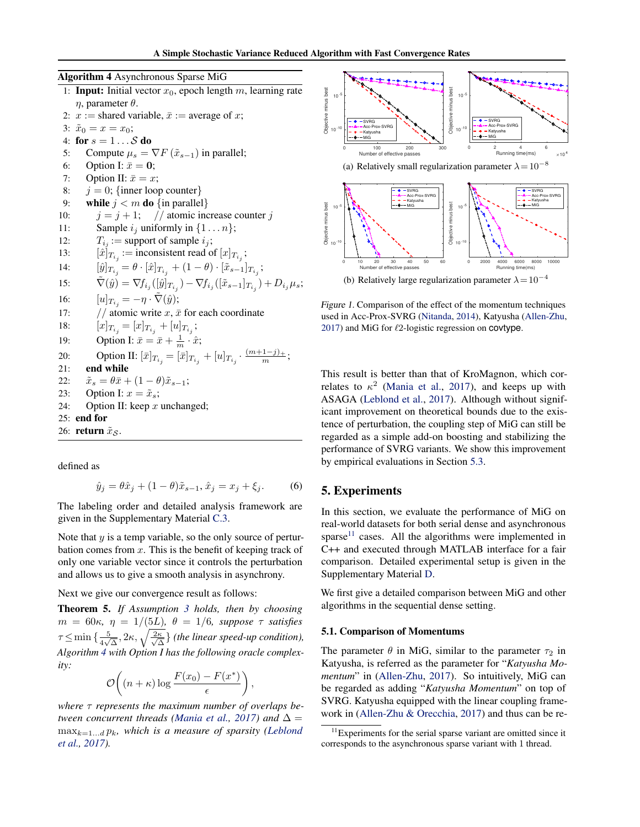<span id="page-5-0"></span>Algorithm 4 Asynchronous Sparse MiG

|     | 1: <b>Input:</b> Initial vector $x_0$ , epoch length $m$ , learning rate                                                       |
|-----|--------------------------------------------------------------------------------------------------------------------------------|
|     | $\eta$ , parameter $\theta$ .                                                                                                  |
|     | 2: $x :=$ shared variable, $\bar{x} :=$ average of x;                                                                          |
|     | 3: $\tilde{x}_0 = x = x_0;$                                                                                                    |
|     | 4: for $s = 1 \ldots S$ do                                                                                                     |
| 5:  | Compute $\mu_s = \nabla F(\tilde{x}_{s-1})$ in parallel;                                                                       |
| 6:  | Option I: $\bar{x} = 0$ ;                                                                                                      |
| 7:  | Option II: $\bar{x} = x$ ;                                                                                                     |
| 8:  | $j = 0$ ; {inner loop counter}                                                                                                 |
| 9:  | while $j < m$ do {in parallel}                                                                                                 |
| 10: | $j = j + 1$ ; // atomic increase counter j                                                                                     |
| 11: | Sample $i_j$ uniformly in $\{1 \dots n\}$ ;                                                                                    |
| 12: | $T_{i_j}$ := support of sample $i_j$ ;                                                                                         |
| 13: | $[\hat{x}]_{T_{i,j}} := \text{inconsistent read of } [x]_{T_{i,j}};$                                                           |
| 14: | $[\hat{y}]_{T_{i_j}} = \theta \cdot [\hat{x}]_{T_{i_j}} + (1 - \theta) \cdot [\tilde{x}_{s-1}]_{T_{i_j}};$                     |
| 15: | $\tilde{\nabla}(\hat{y}) = \nabla f_{i_j}([\hat{y}]_{T_{i_j}}) - \nabla f_{i_j}([\tilde{x}_{s-1}]_{T_{i_j}}) + D_{i_j} \mu_s;$ |
| 16: | $[u]_{T_{i,j}} = -\eta \cdot \tilde{\nabla}(\hat{y});$                                                                         |
| 17: | // atomic write $x, \bar{x}$ for each coordinate                                                                               |
| 18: | $[x]_{T_{i_i}} = [x]_{T_{i_i}} + [u]_{T_{i_i}};$                                                                               |
| 19: | Option I: $\bar{x} = \bar{x} + \frac{1}{m} \cdot \hat{x}$ ;                                                                    |
| 20: | Option II: $[\bar{x}]_{T_{i_j}} = [\bar{x}]_{T_{i_i}} + [u]_{T_{i_i}} \cdot \frac{(m+1-j)_+}{m};$                              |
| 21: | end while                                                                                                                      |
| 22: | $\tilde{x}_s = \theta \bar{x} + (1 - \theta) \tilde{x}_{s-1};$                                                                 |
| 23: | Option I: $x = \tilde{x}_s$ ;                                                                                                  |
| 24: | Option II: keep $x$ unchanged;                                                                                                 |
|     | 25: <b>end for</b>                                                                                                             |
|     | 26: <b>return</b> $\tilde{x}_{\mathcal{S}}$ .                                                                                  |
|     |                                                                                                                                |

defined as

$$
\hat{y}_j = \theta \hat{x}_j + (1 - \theta)\tilde{x}_{s-1}, \hat{x}_j = x_j + \xi_j.
$$
 (6)

The labeling order and detailed analysis framework are given in the Supplementary Material [C.3.](#page--1-0)

Note that  $y$  is a temp variable, so the only source of perturbation comes from  $x$ . This is the benefit of keeping track of only one variable vector since it controls the perturbation and allows us to give a smooth analysis in asynchrony.

Next we give our convergence result as follows:

Theorem 5. *If Assumption [3](#page-3-0) holds, then by choosing*  $m = 60\kappa$ ,  $\eta = 1/(5L)$ ,  $\theta = 1/6$ , suppose  $\tau$  satisfies  $\tau \leq \min\left\{\frac{5}{4\sqrt{2}}\right\}$  $\frac{5}{4\sqrt{\Delta}}, 2\kappa, \sqrt{\frac{2\kappa}{\sqrt{\Delta}}}$  $\frac{\kappa}{\Delta}$ } (the linear speed-up condition), *Algorithm 4 with Option I has the following oracle complexity:*

$$
\mathcal{O}\bigg((n+\kappa)\log\frac{F(x_0)-F(x^*)}{\epsilon}\bigg),\,
$$

*where* τ *represents the maximum number of overlaps be-tween concurrent threads [\(Mania et al.,](#page-8-0) [2017\)](#page-8-0)* and  $\Delta$  =  $\max_{k=1...d} p_k$ *, which is a measure of sparsity [\(Leblond](#page-8-0) [et al.,](#page-8-0) [2017\)](#page-8-0).*



Figure 1. Comparison of the effect of the momentum techniques used in Acc-Prox-SVRG [\(Nitanda,](#page-8-0) [2014\)](#page-8-0), Katyusha [\(Allen-Zhu,](#page-8-0) [2017\)](#page-8-0) and MiG for  $\ell$ 2-logistic regression on covtype.

This result is better than that of KroMagnon, which correlates to  $\kappa^2$  [\(Mania et al.,](#page-8-0) [2017\)](#page-8-0), and keeps up with ASAGA [\(Leblond et al.,](#page-8-0) [2017\)](#page-8-0). Although without significant improvement on theoretical bounds due to the existence of perturbation, the coupling step of MiG can still be regarded as a simple add-on boosting and stabilizing the performance of SVRG variants. We show this improvement by empirical evaluations in Section [5.3.](#page-7-0)

# 5. Experiments

In this section, we evaluate the performance of MiG on real-world datasets for both serial dense and asynchronous sparse $11$  cases. All the algorithms were implemented in C++ and executed through MATLAB interface for a fair comparison. Detailed experimental setup is given in the Supplementary Material [D.](#page--1-0)

We first give a detailed comparison between MiG and other algorithms in the sequential dense setting.

### 5.1. Comparison of Momentums

The parameter  $\theta$  in MiG, similar to the parameter  $\tau_2$  in Katyusha, is referred as the parameter for "*Katyusha Momentum*" in [\(Allen-Zhu,](#page-8-0) [2017\)](#page-8-0). So intuitively, MiG can be regarded as adding "*Katyusha Momentum*" on top of SVRG. Katyusha equipped with the linear coupling framework in [\(Allen-Zhu & Orecchia,](#page-8-0) [2017\)](#page-8-0) and thus can be re-

<sup>&</sup>lt;sup>11</sup>Experiments for the serial sparse variant are omitted since it corresponds to the asynchronous sparse variant with 1 thread.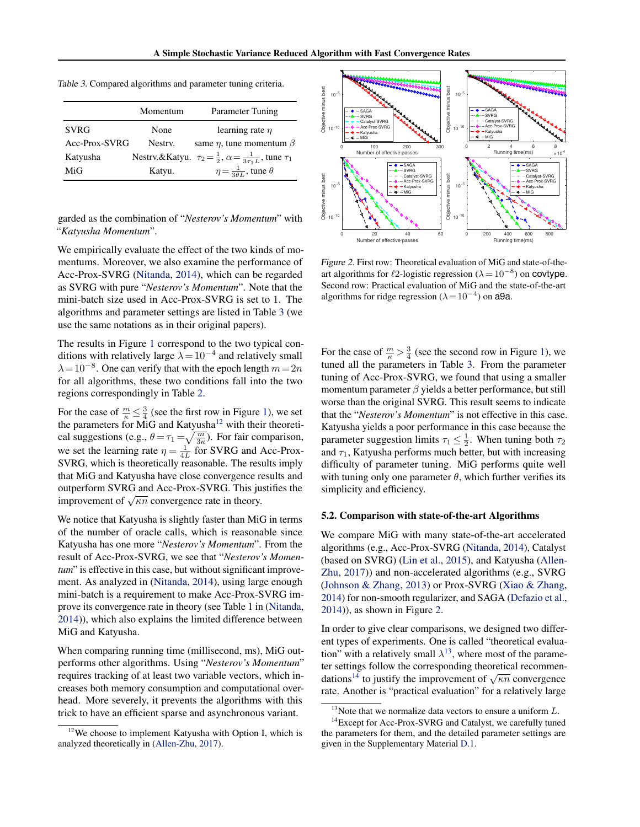<span id="page-6-0"></span>

|  | Table 3. Compared algorithms and parameter tuning criteria. |  |  |
|--|-------------------------------------------------------------|--|--|
|  |                                                             |  |  |

|               | Momentum | Parameter Tuning                                                                       |
|---------------|----------|----------------------------------------------------------------------------------------|
| <b>SVRG</b>   | None     | learning rate $n$                                                                      |
| Acc-Prox-SVRG | Nestry.  | same $\eta$ , tune momentum $\beta$                                                    |
| Katyusha      |          | Nestrv.&Katyu. $\tau_2 = \frac{1}{2}$ , $\alpha = \frac{1}{3\tau_1 L}$ , tune $\tau_1$ |
| MiG           | Katyu.   | $\eta = \frac{1}{3\theta L}$ , tune $\theta$                                           |

garded as the combination of "*Nesterov's Momentum*" with "*Katyusha Momentum*".

We empirically evaluate the effect of the two kinds of momentums. Moreover, we also examine the performance of Acc-Prox-SVRG [\(Nitanda,](#page-8-0) [2014\)](#page-8-0), which can be regarded as SVRG with pure "*Nesterov's Momentum*". Note that the mini-batch size used in Acc-Prox-SVRG is set to 1. The algorithms and parameter settings are listed in Table 3 (we use the same notations as in their original papers).

The results in Figure [1](#page-5-0) correspond to the two typical conditions with relatively large  $\lambda = 10^{-4}$  and relatively small  $\lambda = 10^{-8}$ . One can verify that with the epoch length  $m = 2n$ for all algorithms, these two conditions fall into the two regions correspondingly in Table [2.](#page-2-0)

For the case of  $\frac{m}{\kappa} \leq \frac{3}{4}$  (see the first row in Figure [1\)](#page-5-0), we set the parameters for MiG and Katyusha<sup>12</sup> with their theoretical suggestions (e.g.,  $\theta = \tau_1 = \sqrt{\frac{m}{3\kappa}}$ ). For fair comparison, we set the learning rate  $\eta = \frac{1}{4L}$  for SVRG and Acc-Prox-SVRG, which is theoretically reasonable. The results imply that MiG and Katyusha have close convergence results and outperform SVRG and Acc-Prox-SVRG. This justifies the outperform 5 v KO and ACC-FIOX-5 v KO. This jumprovement of  $\sqrt{\kappa n}$  convergence rate in theory.

We notice that Katyusha is slightly faster than MiG in terms of the number of oracle calls, which is reasonable since Katyusha has one more "*Nesterov's Momentum*". From the result of Acc-Prox-SVRG, we see that "*Nesterov's Momentum*" is effective in this case, but without significant improvement. As analyzed in [\(Nitanda,](#page-8-0) [2014\)](#page-8-0), using large enough mini-batch is a requirement to make Acc-Prox-SVRG improve its convergence rate in theory (see Table 1 in [\(Nitanda,](#page-8-0) [2014\)](#page-8-0)), which also explains the limited difference between MiG and Katyusha.

When comparing running time (millisecond, ms), MiG outperforms other algorithms. Using "*Nesterov's Momentum*" requires tracking of at least two variable vectors, which increases both memory consumption and computational overhead. More severely, it prevents the algorithms with this trick to have an efficient sparse and asynchronous variant.



Figure 2. First row: Theoretical evaluation of MiG and state-of-theart algorithms for  $\ell$ 2-logistic regression ( $\lambda = 10^{-8}$ ) on covtype. Second row: Practical evaluation of MiG and the state-of-the-art algorithms for ridge regression ( $\lambda = 10^{-4}$ ) on a9a.

For the case of  $\frac{m}{\kappa} > \frac{3}{4}$  (see the second row in Figure [1\)](#page-5-0), we tuned all the parameters in Table 3. From the parameter tuning of Acc-Prox-SVRG, we found that using a smaller momentum parameter  $\beta$  yields a better performance, but still worse than the original SVRG. This result seems to indicate that the "*Nesterov's Momentum*" is not effective in this case. Katyusha yields a poor performance in this case because the parameter suggestion limits  $\tau_1 \leq \frac{1}{2}$ . When tuning both  $\tau_2$ and  $\tau_1$ , Katyusha performs much better, but with increasing difficulty of parameter tuning. MiG performs quite well with tuning only one parameter  $\theta$ , which further verifies its simplicity and efficiency.

### 5.2. Comparison with state-of-the-art Algorithms

We compare MiG with many state-of-the-art accelerated algorithms (e.g., Acc-Prox-SVRG [\(Nitanda,](#page-8-0) [2014\)](#page-8-0), Catalyst (based on SVRG) [\(Lin et al.,](#page-8-0) [2015\)](#page-8-0), and Katyusha [\(Allen-](#page-8-0)[Zhu,](#page-8-0) [2017\)](#page-8-0)) and non-accelerated algorithms (e.g., SVRG [\(Johnson & Zhang,](#page-8-0) [2013\)](#page-8-0) or Prox-SVRG [\(Xiao & Zhang,](#page-9-0) [2014\)](#page-9-0) for non-smooth regularizer, and SAGA [\(Defazio et al.,](#page-8-0) [2014\)](#page-8-0)), as shown in Figure 2.

In order to give clear comparisons, we designed two different types of experiments. One is called "theoretical evaluation" with a relatively small  $\lambda^{13}$ , where most of the parameter settings follow the corresponding theoretical recommendations<sup>14</sup> to justify the improvement of  $\sqrt{\kappa n}$  convergence rate. Another is "practical evaluation" for a relatively large

 $12$ We choose to implement Katyusha with Option I, which is analyzed theoretically in [\(Allen-Zhu,](#page-8-0) [2017\)](#page-8-0).

<sup>&</sup>lt;sup>13</sup>Note that we normalize data vectors to ensure a uniform  $L$ .

<sup>&</sup>lt;sup>14</sup>Except for Acc-Prox-SVRG and Catalyst, we carefully tuned the parameters for them, and the detailed parameter settings are given in the Supplementary Material [D.1.](#page--1-0)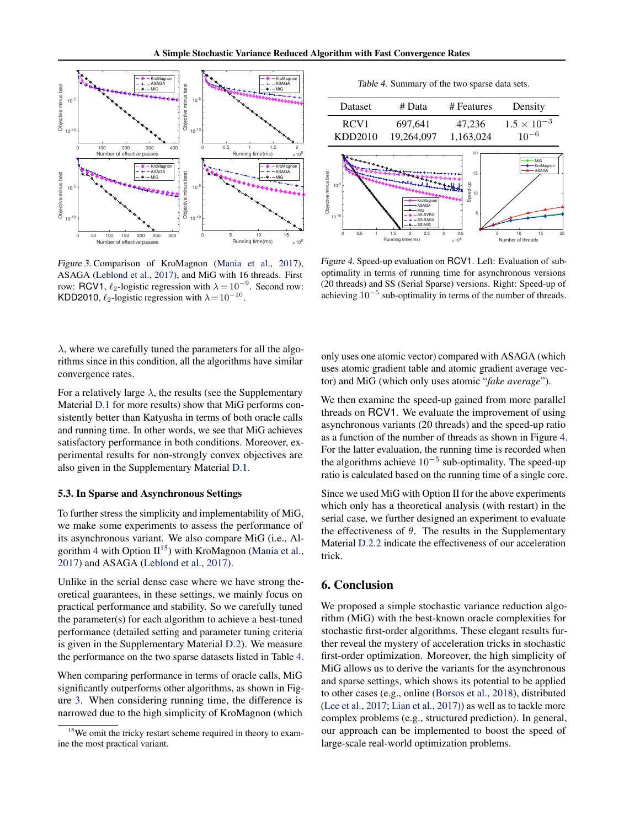<span id="page-7-0"></span>

Figure 3. Comparison of KroMagnon [\(Mania et al.,](#page-8-0) [2017\)](#page-8-0), ASAGA [\(Leblond et al.,](#page-8-0) [2017\)](#page-8-0), and MiG with 16 threads. First row: RCV1,  $\ell_2$ -logistic regression with  $\lambda = 10^{-9}$ . Second row: KDD2010,  $\ell_2$ -logistic regression with  $\lambda = 10^{-10}$ .

 $\lambda$ , where we carefully tuned the parameters for all the algorithms since in this condition, all the algorithms have similar convergence rates.

For a relatively large  $\lambda$ , the results (see the Supplementary Material [D.1](#page--1-0) for more results) show that MiG performs consistently better than Katyusha in terms of both oracle calls and running time. In other words, we see that MiG achieves satisfactory performance in both conditions. Moreover, experimental results for non-strongly convex objectives are also given in the Supplementary Material [D.1.](#page--1-0)

#### 5.3. In Sparse and Asynchronous Settings

To further stress the simplicity and implementability of MiG, we make some experiments to assess the performance of its asynchronous variant. We also compare MiG (i.e., Al-gorithm [4](#page-5-0) with Option  $II^{15}$ ) with KroMagnon [\(Mania et al.,](#page-8-0) [2017\)](#page-8-0) and ASAGA [\(Leblond et al.,](#page-8-0) [2017\)](#page-8-0).

Unlike in the serial dense case where we have strong theoretical guarantees, in these settings, we mainly focus on practical performance and stability. So we carefully tuned the parameter(s) for each algorithm to achieve a best-tuned performance (detailed setting and parameter tuning criteria is given in the Supplementary Material [D.2\)](#page--1-0). We measure the performance on the two sparse datasets listed in Table 4.

When comparing performance in terms of oracle calls, MiG significantly outperforms other algorithms, as shown in Figure 3. When considering running time, the difference is narrowed due to the high simplicity of KroMagnon (which

Table 4. Summary of the two sparse data sets.



Figure 4. Speed-up evaluation on RCV1. Left: Evaluation of suboptimality in terms of running time for asynchronous versions (20 threads) and SS (Serial Sparse) versions. Right: Speed-up of achieving  $10^{-5}$  sub-optimality in terms of the number of threads.

only uses one atomic vector) compared with ASAGA (which uses atomic gradient table and atomic gradient average vector) and MiG (which only uses atomic "*fake average*").

We then examine the speed-up gained from more parallel threads on RCV1. We evaluate the improvement of using asynchronous variants (20 threads) and the speed-up ratio as a function of the number of threads as shown in Figure 4. For the latter evaluation, the running time is recorded when the algorithms achieve  $10^{-5}$  sub-optimality. The speed-up ratio is calculated based on the running time of a single core.

Since we used MiG with Option II for the above experiments which only has a theoretical analysis (with restart) in the serial case, we further designed an experiment to evaluate the effectiveness of  $\theta$ . The results in the Supplementary Material [D.2.2](#page--1-0) indicate the effectiveness of our acceleration trick.

# 6. Conclusion

We proposed a simple stochastic variance reduction algorithm (MiG) with the best-known oracle complexities for stochastic first-order algorithms. These elegant results further reveal the mystery of acceleration tricks in stochastic first-order optimization. Moreover, the high simplicity of MiG allows us to derive the variants for the asynchronous and sparse settings, which shows its potential to be applied to other cases (e.g., online [\(Borsos et al.,](#page-8-0) [2018\)](#page-8-0), distributed [\(Lee et al.,](#page-8-0) [2017;](#page-8-0) [Lian et al.,](#page-8-0) [2017\)](#page-8-0)) as well as to tackle more complex problems (e.g., structured prediction). In general, our approach can be implemented to boost the speed of large-scale real-world optimization problems.

<sup>&</sup>lt;sup>15</sup>We omit the tricky restart scheme required in theory to examine the most practical variant.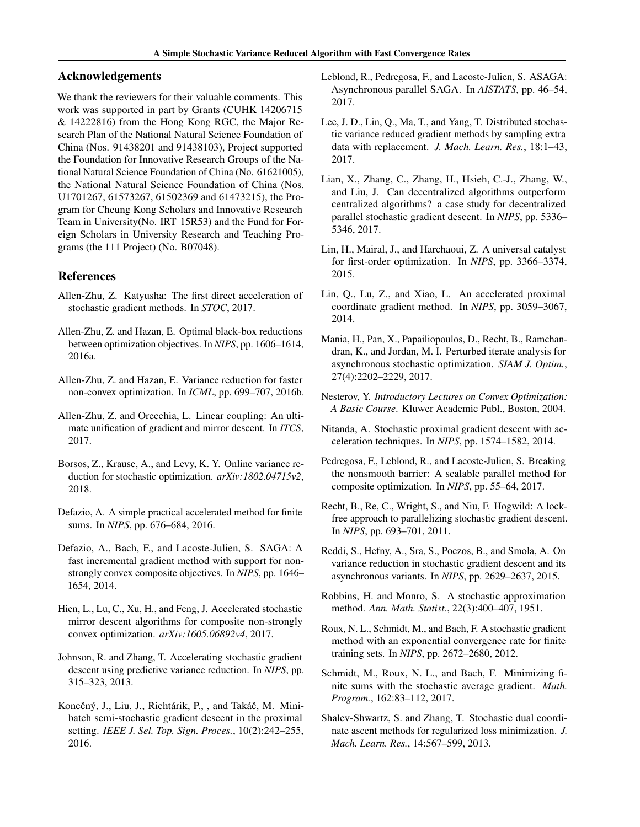# <span id="page-8-0"></span>Acknowledgements

We thank the reviewers for their valuable comments. This work was supported in part by Grants (CUHK 14206715 & 14222816) from the Hong Kong RGC, the Major Research Plan of the National Natural Science Foundation of China (Nos. 91438201 and 91438103), Project supported the Foundation for Innovative Research Groups of the National Natural Science Foundation of China (No. 61621005), the National Natural Science Foundation of China (Nos. U1701267, 61573267, 61502369 and 61473215), the Program for Cheung Kong Scholars and Innovative Research Team in University(No. IRT<sub>-15R53</sub>) and the Fund for Foreign Scholars in University Research and Teaching Programs (the 111 Project) (No. B07048).

### References

- Allen-Zhu, Z. Katyusha: The first direct acceleration of stochastic gradient methods. In *STOC*, 2017.
- Allen-Zhu, Z. and Hazan, E. Optimal black-box reductions between optimization objectives. In *NIPS*, pp. 1606–1614, 2016a.
- Allen-Zhu, Z. and Hazan, E. Variance reduction for faster non-convex optimization. In *ICML*, pp. 699–707, 2016b.
- Allen-Zhu, Z. and Orecchia, L. Linear coupling: An ultimate unification of gradient and mirror descent. In *ITCS*, 2017.
- Borsos, Z., Krause, A., and Levy, K. Y. Online variance reduction for stochastic optimization. *arXiv:1802.04715v2*, 2018.
- Defazio, A. A simple practical accelerated method for finite sums. In *NIPS*, pp. 676–684, 2016.
- Defazio, A., Bach, F., and Lacoste-Julien, S. SAGA: A fast incremental gradient method with support for nonstrongly convex composite objectives. In *NIPS*, pp. 1646– 1654, 2014.
- Hien, L., Lu, C., Xu, H., and Feng, J. Accelerated stochastic mirror descent algorithms for composite non-strongly convex optimization. *arXiv:1605.06892v4*, 2017.
- Johnson, R. and Zhang, T. Accelerating stochastic gradient descent using predictive variance reduction. In *NIPS*, pp. 315–323, 2013.
- Konečný, J., Liu, J., Richtárik, P., , and Takáč, M. Minibatch semi-stochastic gradient descent in the proximal setting. *IEEE J. Sel. Top. Sign. Proces.*, 10(2):242–255, 2016.
- Leblond, R., Pedregosa, F., and Lacoste-Julien, S. ASAGA: Asynchronous parallel SAGA. In *AISTATS*, pp. 46–54, 2017.
- Lee, J. D., Lin, Q., Ma, T., and Yang, T. Distributed stochastic variance reduced gradient methods by sampling extra data with replacement. *J. Mach. Learn. Res.*, 18:1–43, 2017.
- Lian, X., Zhang, C., Zhang, H., Hsieh, C.-J., Zhang, W., and Liu, J. Can decentralized algorithms outperform centralized algorithms? a case study for decentralized parallel stochastic gradient descent. In *NIPS*, pp. 5336– 5346, 2017.
- Lin, H., Mairal, J., and Harchaoui, Z. A universal catalyst for first-order optimization. In *NIPS*, pp. 3366–3374, 2015.
- Lin, Q., Lu, Z., and Xiao, L. An accelerated proximal coordinate gradient method. In *NIPS*, pp. 3059–3067, 2014.
- Mania, H., Pan, X., Papailiopoulos, D., Recht, B., Ramchandran, K., and Jordan, M. I. Perturbed iterate analysis for asynchronous stochastic optimization. *SIAM J. Optim.*, 27(4):2202–2229, 2017.
- Nesterov, Y. *Introductory Lectures on Convex Optimization: A Basic Course*. Kluwer Academic Publ., Boston, 2004.
- Nitanda, A. Stochastic proximal gradient descent with acceleration techniques. In *NIPS*, pp. 1574–1582, 2014.
- Pedregosa, F., Leblond, R., and Lacoste-Julien, S. Breaking the nonsmooth barrier: A scalable parallel method for composite optimization. In *NIPS*, pp. 55–64, 2017.
- Recht, B., Re, C., Wright, S., and Niu, F. Hogwild: A lockfree approach to parallelizing stochastic gradient descent. In *NIPS*, pp. 693–701, 2011.
- Reddi, S., Hefny, A., Sra, S., Poczos, B., and Smola, A. On variance reduction in stochastic gradient descent and its asynchronous variants. In *NIPS*, pp. 2629–2637, 2015.
- Robbins, H. and Monro, S. A stochastic approximation method. *Ann. Math. Statist.*, 22(3):400–407, 1951.
- Roux, N. L., Schmidt, M., and Bach, F. A stochastic gradient method with an exponential convergence rate for finite training sets. In *NIPS*, pp. 2672–2680, 2012.
- Schmidt, M., Roux, N. L., and Bach, F. Minimizing finite sums with the stochastic average gradient. *Math. Program.*, 162:83–112, 2017.
- Shalev-Shwartz, S. and Zhang, T. Stochastic dual coordinate ascent methods for regularized loss minimization. *J. Mach. Learn. Res.*, 14:567–599, 2013.